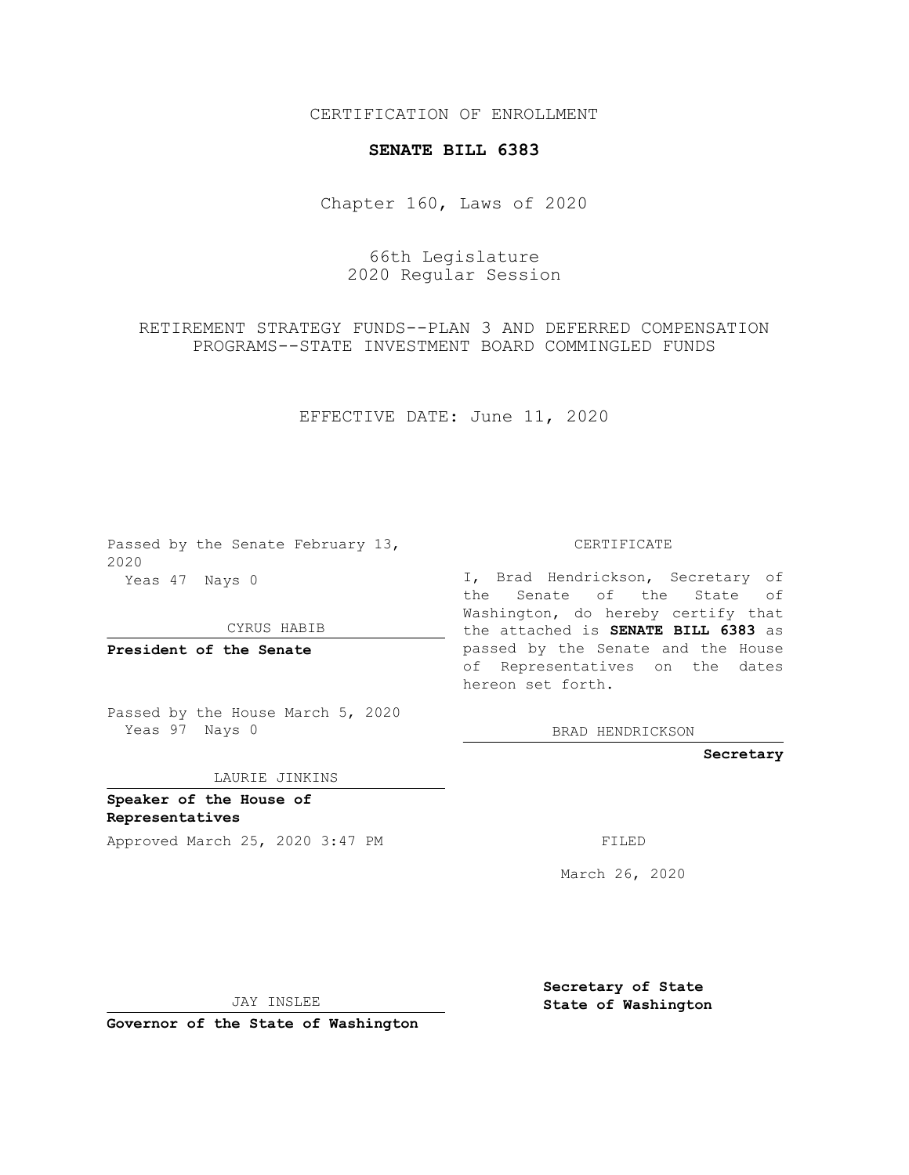CERTIFICATION OF ENROLLMENT

## **SENATE BILL 6383**

Chapter 160, Laws of 2020

66th Legislature 2020 Regular Session

RETIREMENT STRATEGY FUNDS--PLAN 3 AND DEFERRED COMPENSATION PROGRAMS--STATE INVESTMENT BOARD COMMINGLED FUNDS

EFFECTIVE DATE: June 11, 2020

Passed by the Senate February 13, 2020 Yeas 47 Nays 0

CYRUS HABIB

**President of the Senate**

Passed by the House March 5, 2020 Yeas 97 Nays 0

LAURIE JINKINS

**Speaker of the House of Representatives**

Approved March 25, 2020 3:47 PM

CERTIFICATE

I, Brad Hendrickson, Secretary of the Senate of the State of Washington, do hereby certify that the attached is **SENATE BILL 6383** as passed by the Senate and the House of Representatives on the dates hereon set forth.

BRAD HENDRICKSON

**Secretary**

March 26, 2020

JAY INSLEE

**Governor of the State of Washington**

**Secretary of State State of Washington**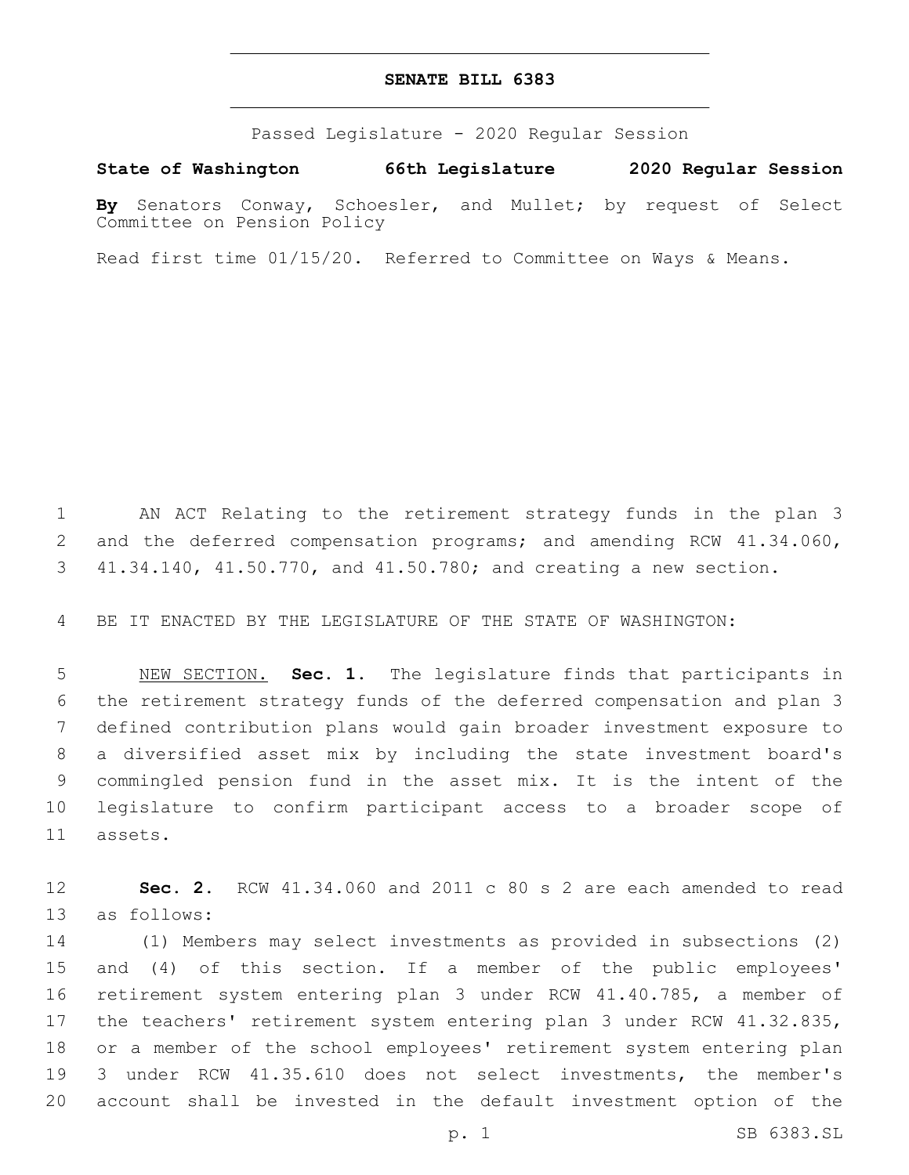## **SENATE BILL 6383**

Passed Legislature - 2020 Regular Session

**State of Washington 66th Legislature 2020 Regular Session**

**By** Senators Conway, Schoesler, and Mullet; by request of Select Committee on Pension Policy

Read first time 01/15/20. Referred to Committee on Ways & Means.

 AN ACT Relating to the retirement strategy funds in the plan 3 and the deferred compensation programs; and amending RCW 41.34.060, 41.34.140, 41.50.770, and 41.50.780; and creating a new section.

BE IT ENACTED BY THE LEGISLATURE OF THE STATE OF WASHINGTON:

 NEW SECTION. **Sec. 1.** The legislature finds that participants in the retirement strategy funds of the deferred compensation and plan 3 defined contribution plans would gain broader investment exposure to a diversified asset mix by including the state investment board's commingled pension fund in the asset mix. It is the intent of the legislature to confirm participant access to a broader scope of 11 assets.

 **Sec. 2.** RCW 41.34.060 and 2011 c 80 s 2 are each amended to read 13 as follows:

 (1) Members may select investments as provided in subsections (2) and (4) of this section. If a member of the public employees' retirement system entering plan 3 under RCW 41.40.785, a member of the teachers' retirement system entering plan 3 under RCW 41.32.835, or a member of the school employees' retirement system entering plan 3 under RCW 41.35.610 does not select investments, the member's account shall be invested in the default investment option of the

p. 1 SB 6383.SL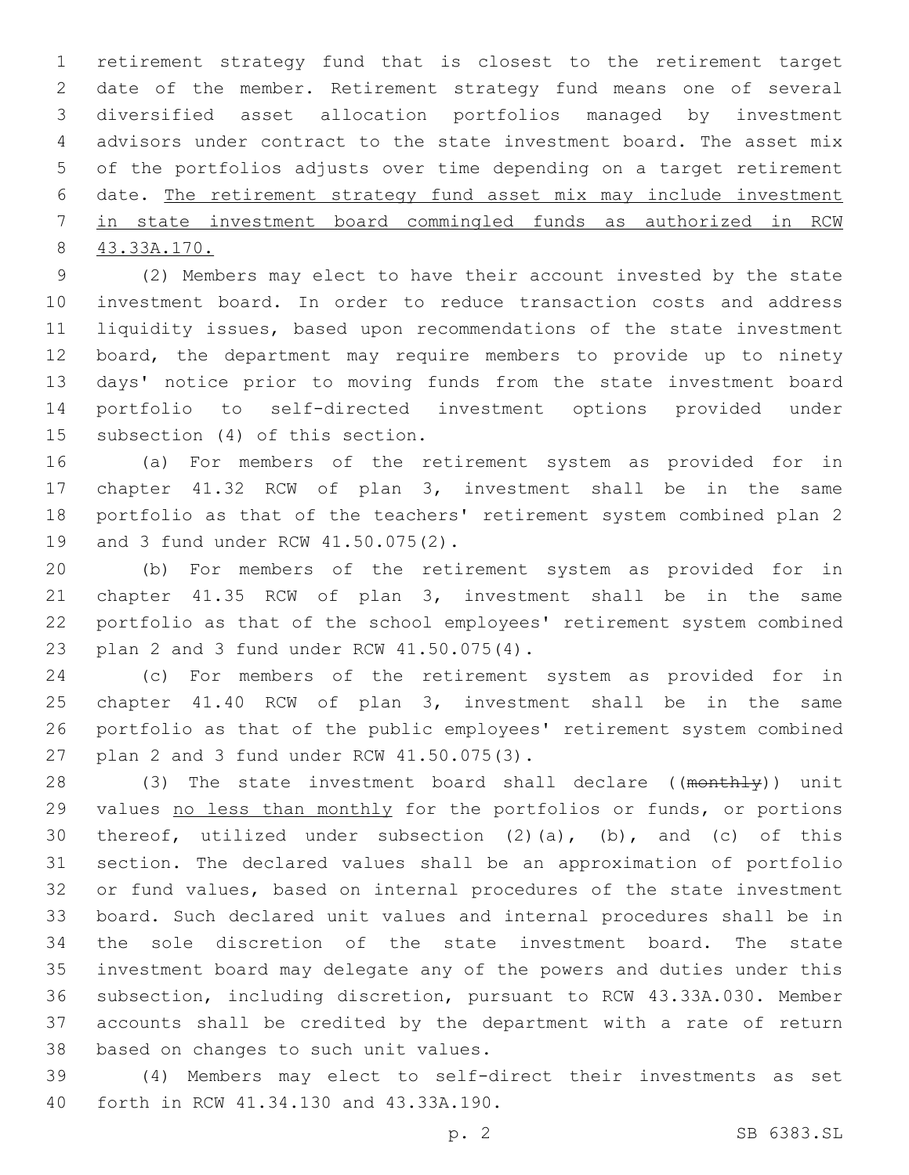retirement strategy fund that is closest to the retirement target date of the member. Retirement strategy fund means one of several diversified asset allocation portfolios managed by investment advisors under contract to the state investment board. The asset mix of the portfolios adjusts over time depending on a target retirement date. The retirement strategy fund asset mix may include investment in state investment board commingled funds as authorized in RCW 43.33A.170.

 (2) Members may elect to have their account invested by the state investment board. In order to reduce transaction costs and address liquidity issues, based upon recommendations of the state investment board, the department may require members to provide up to ninety days' notice prior to moving funds from the state investment board portfolio to self-directed investment options provided under 15 subsection (4) of this section.

 (a) For members of the retirement system as provided for in chapter 41.32 RCW of plan 3, investment shall be in the same portfolio as that of the teachers' retirement system combined plan 2 19 and 3 fund under RCW 41.50.075(2).

 (b) For members of the retirement system as provided for in chapter 41.35 RCW of plan 3, investment shall be in the same portfolio as that of the school employees' retirement system combined 23 plan 2 and 3 fund under RCW 41.50.075(4).

 (c) For members of the retirement system as provided for in chapter 41.40 RCW of plan 3, investment shall be in the same portfolio as that of the public employees' retirement system combined 27 plan 2 and 3 fund under RCW 41.50.075(3).

28 (3) The state investment board shall declare ((monthly)) unit 29 values no less than monthly for the portfolios or funds, or portions thereof, utilized under subsection (2)(a), (b), and (c) of this section. The declared values shall be an approximation of portfolio or fund values, based on internal procedures of the state investment board. Such declared unit values and internal procedures shall be in the sole discretion of the state investment board. The state investment board may delegate any of the powers and duties under this subsection, including discretion, pursuant to RCW 43.33A.030. Member accounts shall be credited by the department with a rate of return 38 based on changes to such unit values.

 (4) Members may elect to self-direct their investments as set 40 forth in RCW 41.34.130 and 43.33A.190.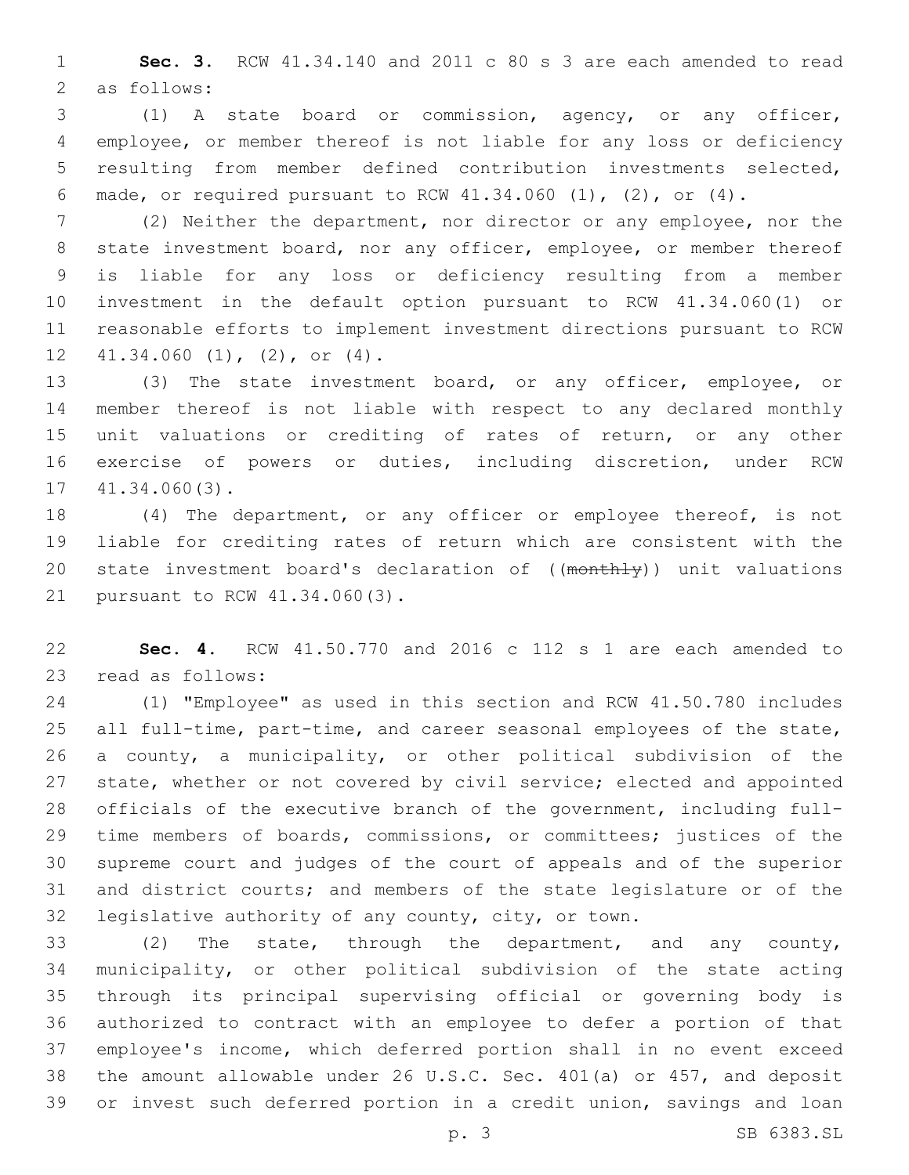**Sec. 3.** RCW 41.34.140 and 2011 c 80 s 3 are each amended to read 2 as follows:

 (1) A state board or commission, agency, or any officer, employee, or member thereof is not liable for any loss or deficiency resulting from member defined contribution investments selected, made, or required pursuant to RCW 41.34.060 (1), (2), or (4).

 (2) Neither the department, nor director or any employee, nor the 8 state investment board, nor any officer, employee, or member thereof is liable for any loss or deficiency resulting from a member investment in the default option pursuant to RCW 41.34.060(1) or reasonable efforts to implement investment directions pursuant to RCW  $12 \quad 41.34.060 \quad (1)$ ,  $(2)$ , or  $(4)$ .

 (3) The state investment board, or any officer, employee, or member thereof is not liable with respect to any declared monthly unit valuations or crediting of rates of return, or any other exercise of powers or duties, including discretion, under RCW  $17 \quad 41.34.060(3)$ .

 (4) The department, or any officer or employee thereof, is not liable for crediting rates of return which are consistent with the 20 state investment board's declaration of ((monthly)) unit valuations 21 pursuant to RCW 41.34.060(3).

 **Sec. 4.** RCW 41.50.770 and 2016 c 112 s 1 are each amended to 23 read as follows:

 (1) "Employee" as used in this section and RCW 41.50.780 includes all full-time, part-time, and career seasonal employees of the state, a county, a municipality, or other political subdivision of the state, whether or not covered by civil service; elected and appointed officials of the executive branch of the government, including full- time members of boards, commissions, or committees; justices of the supreme court and judges of the court of appeals and of the superior and district courts; and members of the state legislature or of the legislative authority of any county, city, or town.

 (2) The state, through the department, and any county, municipality, or other political subdivision of the state acting through its principal supervising official or governing body is authorized to contract with an employee to defer a portion of that employee's income, which deferred portion shall in no event exceed the amount allowable under 26 U.S.C. Sec. 401(a) or 457, and deposit or invest such deferred portion in a credit union, savings and loan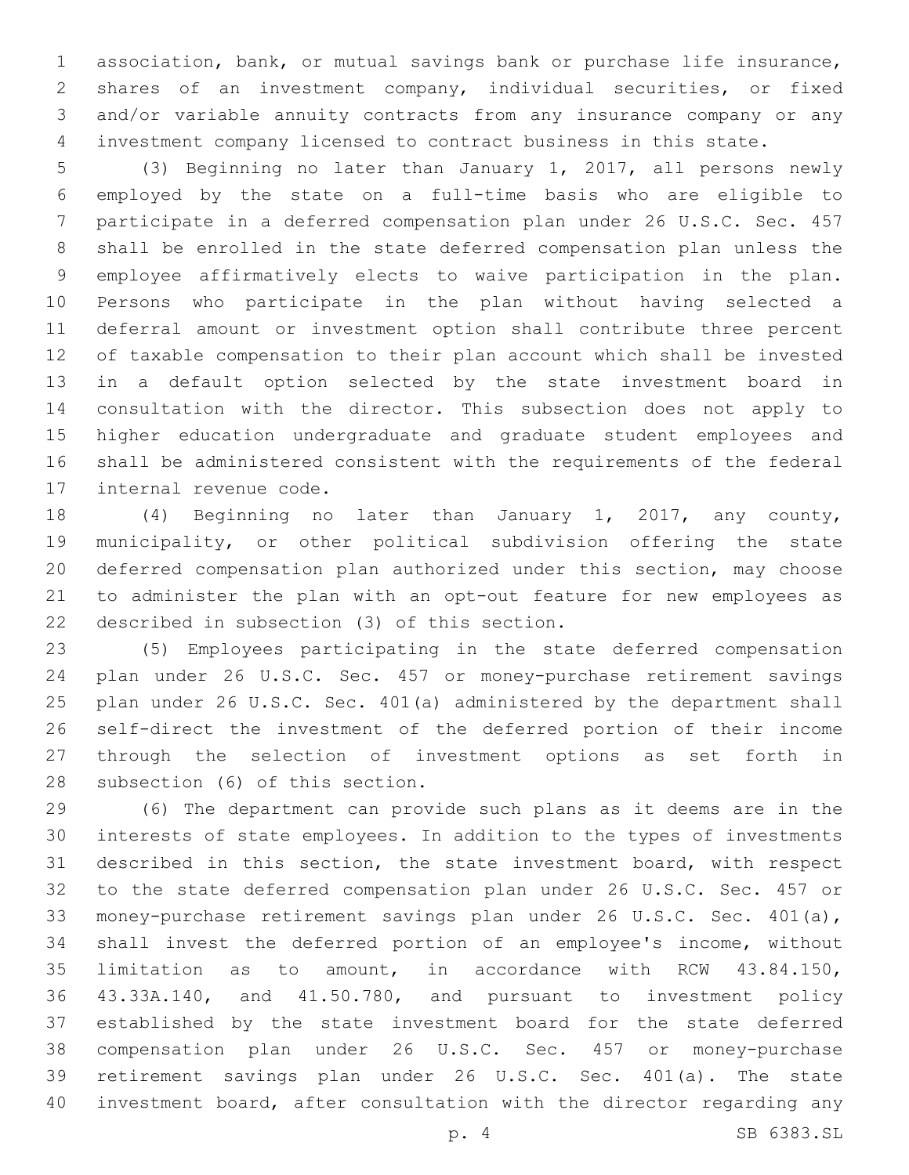association, bank, or mutual savings bank or purchase life insurance, shares of an investment company, individual securities, or fixed and/or variable annuity contracts from any insurance company or any investment company licensed to contract business in this state.

 (3) Beginning no later than January 1, 2017, all persons newly employed by the state on a full-time basis who are eligible to participate in a deferred compensation plan under 26 U.S.C. Sec. 457 shall be enrolled in the state deferred compensation plan unless the employee affirmatively elects to waive participation in the plan. Persons who participate in the plan without having selected a deferral amount or investment option shall contribute three percent of taxable compensation to their plan account which shall be invested in a default option selected by the state investment board in consultation with the director. This subsection does not apply to higher education undergraduate and graduate student employees and shall be administered consistent with the requirements of the federal 17 internal revenue code.

 (4) Beginning no later than January 1, 2017, any county, municipality, or other political subdivision offering the state deferred compensation plan authorized under this section, may choose to administer the plan with an opt-out feature for new employees as 22 described in subsection (3) of this section.

 (5) Employees participating in the state deferred compensation plan under 26 U.S.C. Sec. 457 or money-purchase retirement savings plan under 26 U.S.C. Sec. 401(a) administered by the department shall self-direct the investment of the deferred portion of their income through the selection of investment options as set forth in 28 subsection (6) of this section.

 (6) The department can provide such plans as it deems are in the interests of state employees. In addition to the types of investments described in this section, the state investment board, with respect to the state deferred compensation plan under 26 U.S.C. Sec. 457 or money-purchase retirement savings plan under 26 U.S.C. Sec. 401(a), shall invest the deferred portion of an employee's income, without limitation as to amount, in accordance with RCW 43.84.150, 43.33A.140, and 41.50.780, and pursuant to investment policy established by the state investment board for the state deferred compensation plan under 26 U.S.C. Sec. 457 or money-purchase retirement savings plan under 26 U.S.C. Sec. 401(a). The state investment board, after consultation with the director regarding any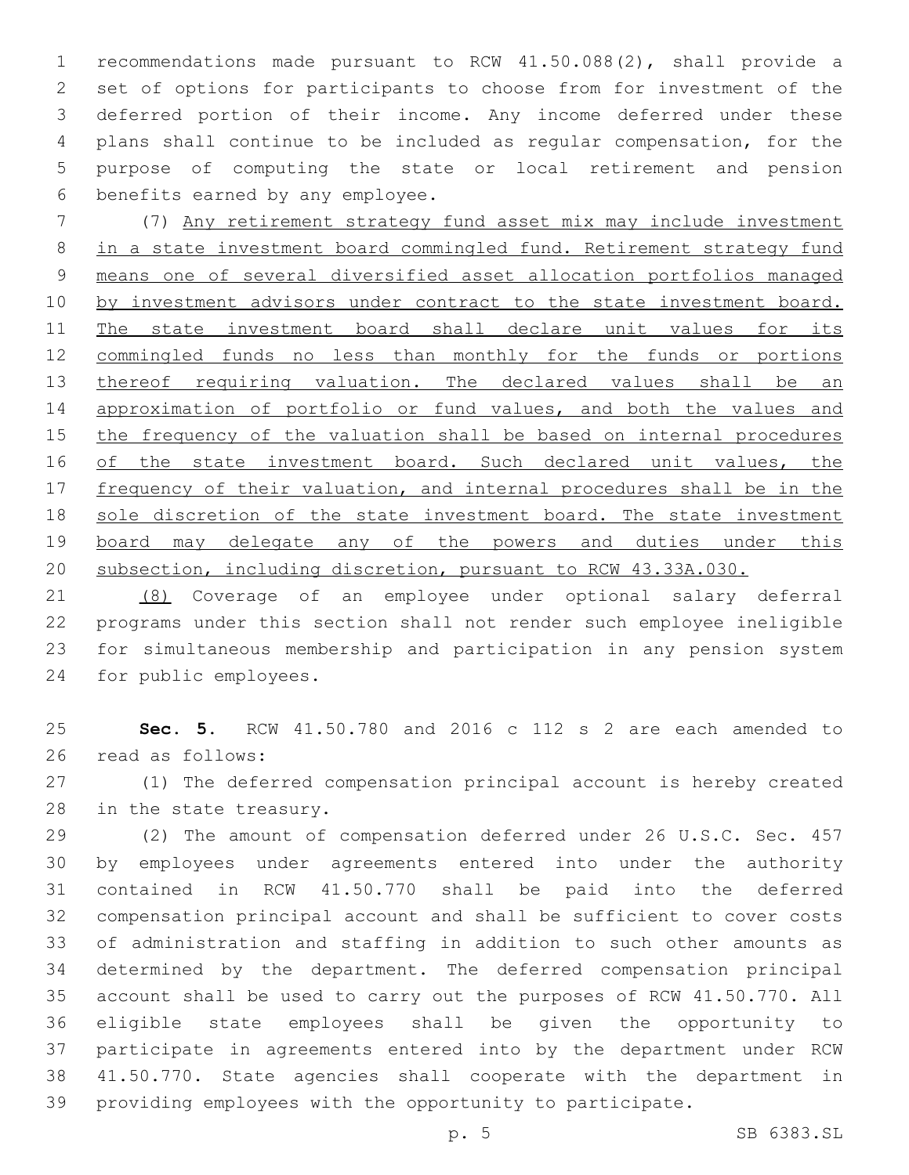recommendations made pursuant to RCW 41.50.088(2), shall provide a set of options for participants to choose from for investment of the deferred portion of their income. Any income deferred under these plans shall continue to be included as regular compensation, for the purpose of computing the state or local retirement and pension 6 benefits earned by any employee.

 (7) Any retirement strategy fund asset mix may include investment in a state investment board commingled fund. Retirement strategy fund means one of several diversified asset allocation portfolios managed 10 by investment advisors under contract to the state investment board. 11 The state investment board shall declare unit values for its commingled funds no less than monthly for the funds or portions 13 thereof requiring valuation. The declared values shall be an approximation of portfolio or fund values, and both the values and 15 the frequency of the valuation shall be based on internal procedures 16 of the state investment board. Such declared unit values, the 17 frequency of their valuation, and internal procedures shall be in the sole discretion of the state investment board. The state investment 19 board may delegate any of the powers and duties under this subsection, including discretion, pursuant to RCW 43.33A.030.

 (8) Coverage of an employee under optional salary deferral programs under this section shall not render such employee ineligible for simultaneous membership and participation in any pension system 24 for public employees.

 **Sec. 5.** RCW 41.50.780 and 2016 c 112 s 2 are each amended to 26 read as follows:

 (1) The deferred compensation principal account is hereby created 28 in the state treasury.

 (2) The amount of compensation deferred under 26 U.S.C. Sec. 457 by employees under agreements entered into under the authority contained in RCW 41.50.770 shall be paid into the deferred compensation principal account and shall be sufficient to cover costs of administration and staffing in addition to such other amounts as determined by the department. The deferred compensation principal account shall be used to carry out the purposes of RCW 41.50.770. All eligible state employees shall be given the opportunity to participate in agreements entered into by the department under RCW 41.50.770. State agencies shall cooperate with the department in providing employees with the opportunity to participate.

p. 5 SB 6383.SL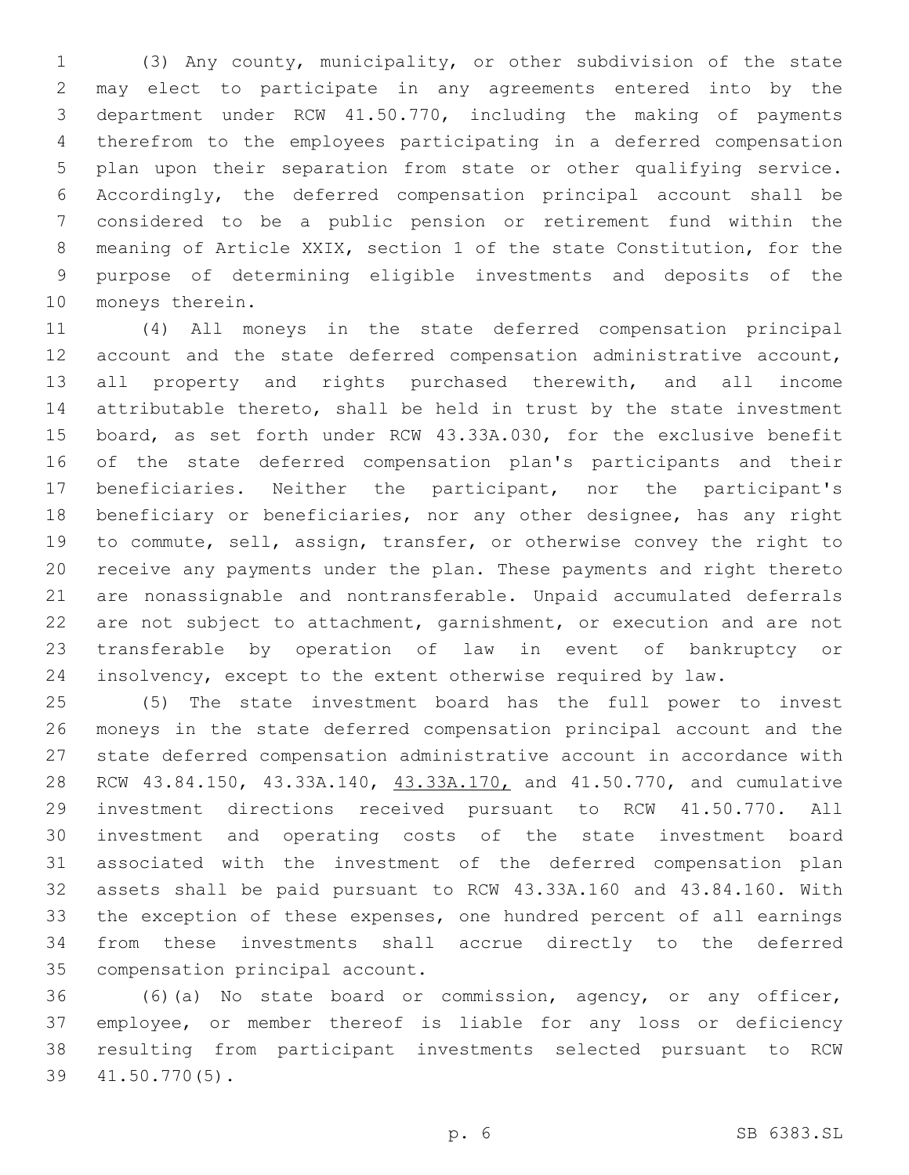(3) Any county, municipality, or other subdivision of the state may elect to participate in any agreements entered into by the department under RCW 41.50.770, including the making of payments therefrom to the employees participating in a deferred compensation plan upon their separation from state or other qualifying service. Accordingly, the deferred compensation principal account shall be considered to be a public pension or retirement fund within the meaning of Article XXIX, section 1 of the state Constitution, for the purpose of determining eligible investments and deposits of the 10 moneys therein.

 (4) All moneys in the state deferred compensation principal account and the state deferred compensation administrative account, all property and rights purchased therewith, and all income attributable thereto, shall be held in trust by the state investment board, as set forth under RCW 43.33A.030, for the exclusive benefit of the state deferred compensation plan's participants and their beneficiaries. Neither the participant, nor the participant's beneficiary or beneficiaries, nor any other designee, has any right to commute, sell, assign, transfer, or otherwise convey the right to receive any payments under the plan. These payments and right thereto are nonassignable and nontransferable. Unpaid accumulated deferrals are not subject to attachment, garnishment, or execution and are not transferable by operation of law in event of bankruptcy or insolvency, except to the extent otherwise required by law.

 (5) The state investment board has the full power to invest moneys in the state deferred compensation principal account and the state deferred compensation administrative account in accordance with 28 RCW 43.84.150, 43.33A.140, 43.33A.170, and 41.50.770, and cumulative investment directions received pursuant to RCW 41.50.770. All investment and operating costs of the state investment board associated with the investment of the deferred compensation plan assets shall be paid pursuant to RCW 43.33A.160 and 43.84.160. With the exception of these expenses, one hundred percent of all earnings from these investments shall accrue directly to the deferred 35 compensation principal account.

 (6)(a) No state board or commission, agency, or any officer, employee, or member thereof is liable for any loss or deficiency resulting from participant investments selected pursuant to RCW 41.50.770(5).39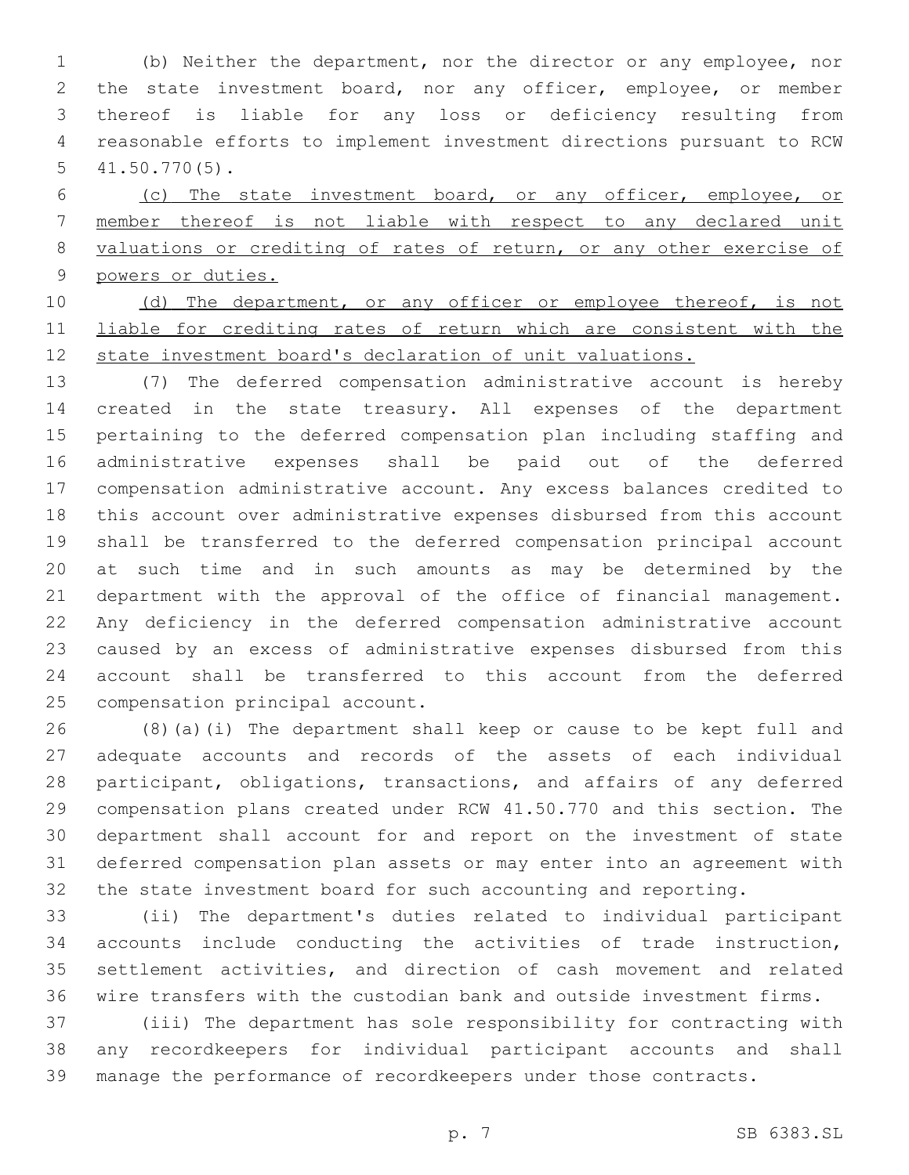(b) Neither the department, nor the director or any employee, nor the state investment board, nor any officer, employee, or member thereof is liable for any loss or deficiency resulting from reasonable efforts to implement investment directions pursuant to RCW  $41.50.770(5)$ .

 (c) The state investment board, or any officer, employee, or member thereof is not liable with respect to any declared unit valuations or crediting of rates of return, or any other exercise of powers or duties.

10 (d) The department, or any officer or employee thereof, is not liable for crediting rates of return which are consistent with the state investment board's declaration of unit valuations.

 (7) The deferred compensation administrative account is hereby created in the state treasury. All expenses of the department pertaining to the deferred compensation plan including staffing and administrative expenses shall be paid out of the deferred compensation administrative account. Any excess balances credited to this account over administrative expenses disbursed from this account shall be transferred to the deferred compensation principal account at such time and in such amounts as may be determined by the department with the approval of the office of financial management. Any deficiency in the deferred compensation administrative account caused by an excess of administrative expenses disbursed from this account shall be transferred to this account from the deferred 25 compensation principal account.

 (8)(a)(i) The department shall keep or cause to be kept full and adequate accounts and records of the assets of each individual participant, obligations, transactions, and affairs of any deferred compensation plans created under RCW 41.50.770 and this section. The department shall account for and report on the investment of state deferred compensation plan assets or may enter into an agreement with the state investment board for such accounting and reporting.

 (ii) The department's duties related to individual participant accounts include conducting the activities of trade instruction, settlement activities, and direction of cash movement and related wire transfers with the custodian bank and outside investment firms.

 (iii) The department has sole responsibility for contracting with any recordkeepers for individual participant accounts and shall manage the performance of recordkeepers under those contracts.